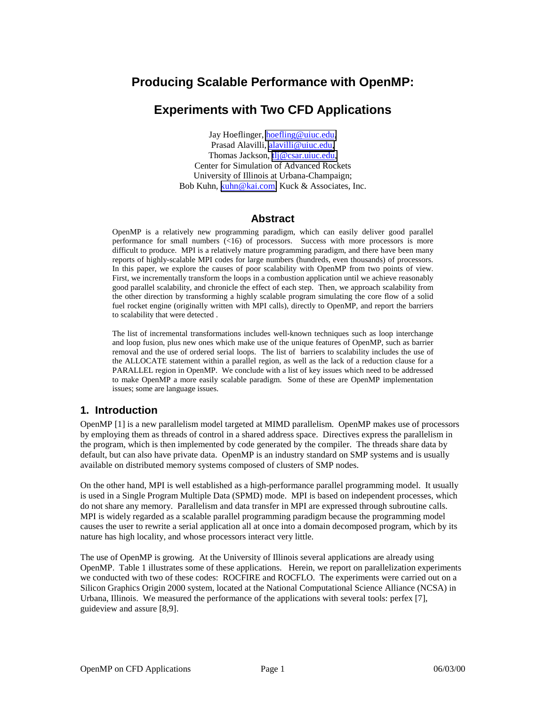# **Producing Scalable Performance with OpenMP:**

# **Experiments with Two CFD Applications**

Jay Hoeflinger, [hoefling@uiuc.edu,](mailto:hoeflinger@cs.uiuc.edu) Prasad Alavilli, alavilli@uiuc.edu, Thomas Jackson, tlj@csar.uiuc.edu, Center for Simulation of Advanced Rockets University of Illinois at Urbana-Champaign; Bob Kuhn, [kuhn@kai.com,](mailto:bob@kai.com) Kuck & Associates, Inc.

### **Abstract**

OpenMP is a relatively new programming paradigm, which can easily deliver good parallel performance for small numbers (<16) of processors. Success with more processors is more difficult to produce. MPI is a relatively mature programming paradigm, and there have been many reports of highly-scalable MPI codes for large numbers (hundreds, even thousands) of processors. In this paper, we explore the causes of poor scalability with OpenMP from two points of view. First, we incrementally transform the loops in a combustion application until we achieve reasonably good parallel scalability, and chronicle the effect of each step. Then, we approach scalability from the other direction by transforming a highly scalable program simulating the core flow of a solid fuel rocket engine (originally written with MPI calls), directly to OpenMP, and report the barriers to scalability that were detected .

The list of incremental transformations includes well-known techniques such as loop interchange and loop fusion, plus new ones which make use of the unique features of OpenMP, such as barrier removal and the use of ordered serial loops. The list of barriers to scalability includes the use of the ALLOCATE statement within a parallel region, as well as the lack of a reduction clause for a PARALLEL region in OpenMP. We conclude with a list of key issues which need to be addressed to make OpenMP a more easily scalable paradigm. Some of these are OpenMP implementation issues; some are language issues.

## **1. Introduction**

OpenMP [1] is a new parallelism model targeted at MIMD parallelism. OpenMP makes use of processors by employing them as threads of control in a shared address space. Directives express the parallelism in the program, which is then implemented by code generated by the compiler. The threads share data by default, but can also have private data. OpenMP is an industry standard on SMP systems and is usually available on distributed memory systems composed of clusters of SMP nodes.

On the other hand, MPI is well established as a high-performance parallel programming model. It usually is used in a Single Program Multiple Data (SPMD) mode. MPI is based on independent processes, which do not share any memory. Parallelism and data transfer in MPI are expressed through subroutine calls. MPI is widely regarded as a scalable parallel programming paradigm because the programming model causes the user to rewrite a serial application all at once into a domain decomposed program, which by its nature has high locality, and whose processors interact very little.

The use of OpenMP is growing. At the University of Illinois several applications are already using OpenMP. Table 1 illustrates some of these applications. Herein, we report on parallelization experiments we conducted with two of these codes: ROCFIRE and ROCFLO. The experiments were carried out on a Silicon Graphics Origin 2000 system, located at the National Computational Science Alliance (NCSA) in Urbana, Illinois. We measured the performance of the applications with several tools: perfex [7], guideview and assure [8,9].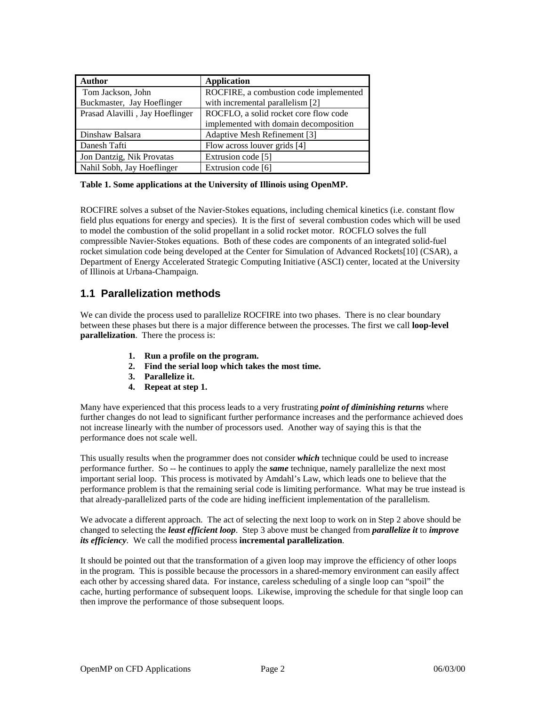| <b>Author</b>                   | <b>Application</b>                     |
|---------------------------------|----------------------------------------|
| Tom Jackson, John               | ROCFIRE, a combustion code implemented |
| Buckmaster, Jay Hoeflinger      | with incremental parallelism [2]       |
| Prasad Alavilli, Jay Hoeflinger | ROCFLO, a solid rocket core flow code  |
|                                 | implemented with domain decomposition  |
| Dinshaw Balsara                 | Adaptive Mesh Refinement [3]           |
| Danesh Tafti                    | Flow across louver grids [4]           |
| Jon Dantzig, Nik Provatas       | Extrusion code [5]                     |
| Nahil Sobh, Jay Hoeflinger      | Extrusion code [6]                     |

#### **Table 1. Some applications at the University of Illinois using OpenMP.**

ROCFIRE solves a subset of the Navier-Stokes equations, including chemical kinetics (i.e. constant flow field plus equations for energy and species). It is the first of several combustion codes which will be used to model the combustion of the solid propellant in a solid rocket motor. ROCFLO solves the full compressible Navier-Stokes equations. Both of these codes are components of an integrated solid-fuel rocket simulation code being developed at the Center for Simulation of Advanced Rockets[10] (CSAR), a Department of Energy Accelerated Strategic Computing Initiative (ASCI) center, located at the University of Illinois at Urbana-Champaign.

### **1.1 Parallelization methods**

We can divide the process used to parallelize ROCFIRE into two phases. There is no clear boundary between these phases but there is a major difference between the processes. The first we call **loop-level parallelization**. There the process is:

- **1. Run a profile on the program.**
- **2. Find the serial loop which takes the most time.**
- **3. Parallelize it.**
- **4. Repeat at step 1.**

Many have experienced that this process leads to a very frustrating *point of diminishing returns* where further changes do not lead to significant further performance increases and the performance achieved does not increase linearly with the number of processors used. Another way of saying this is that the performance does not scale well.

This usually results when the programmer does not consider *which* technique could be used to increase performance further. So -- he continues to apply the *same* technique, namely parallelize the next most important serial loop. This process is motivated by Amdahl's Law, which leads one to believe that the performance problem is that the remaining serial code is limiting performance. What may be true instead is that already-parallelized parts of the code are hiding inefficient implementation of the parallelism.

We advocate a different approach. The act of selecting the next loop to work on in Step 2 above should be changed to selecting the *least efficient loop*. Step 3 above must be changed from *parallelize it* to *improve its efficiency*. We call the modified process **incremental parallelization**.

It should be pointed out that the transformation of a given loop may improve the efficiency of other loops in the program. This is possible because the processors in a shared-memory environment can easily affect each other by accessing shared data. For instance, careless scheduling of a single loop can "spoil" the cache, hurting performance of subsequent loops. Likewise, improving the schedule for that single loop can then improve the performance of those subsequent loops.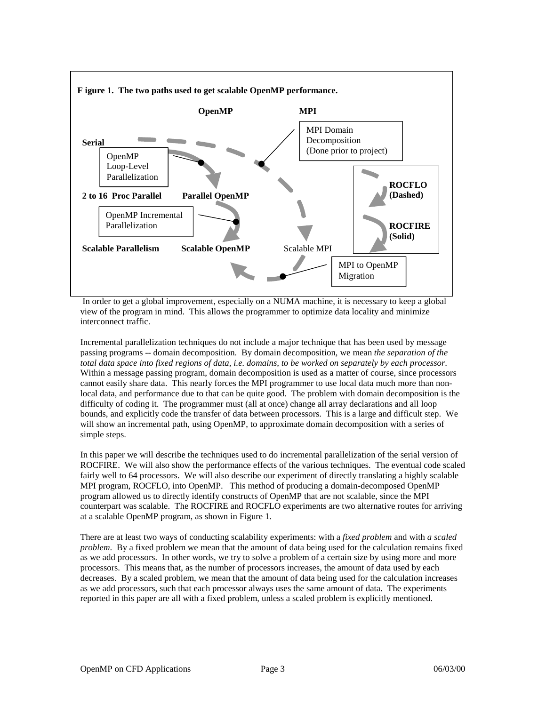

 In order to get a global improvement, especially on a NUMA machine, it is necessary to keep a global view of the program in mind. This allows the programmer to optimize data locality and minimize interconnect traffic.

Incremental parallelization techniques do not include a major technique that has been used by message passing programs -- domain decomposition. By domain decomposition, we mean *the separation of the total data space into fixed regions of data, i.e. domains, to be worked on separately by each processor*. Within a message passing program, domain decomposition is used as a matter of course, since processors cannot easily share data. This nearly forces the MPI programmer to use local data much more than nonlocal data, and performance due to that can be quite good. The problem with domain decomposition is the difficulty of coding it. The programmer must (all at once) change all array declarations and all loop bounds, and explicitly code the transfer of data between processors. This is a large and difficult step. We will show an incremental path, using OpenMP, to approximate domain decomposition with a series of simple steps.

In this paper we will describe the techniques used to do incremental parallelization of the serial version of ROCFIRE. We will also show the performance effects of the various techniques. The eventual code scaled fairly well to 64 processors. We will also describe our experiment of directly translating a highly scalable MPI program, ROCFLO, into OpenMP. This method of producing a domain-decomposed OpenMP program allowed us to directly identify constructs of OpenMP that are not scalable, since the MPI counterpart was scalable. The ROCFIRE and ROCFLO experiments are two alternative routes for arriving at a scalable OpenMP program, as shown in Figure 1.

There are at least two ways of conducting scalability experiments: with a *fixed problem* and with *a scaled problem*. By a fixed problem we mean that the amount of data being used for the calculation remains fixed as we add processors. In other words, we try to solve a problem of a certain size by using more and more processors. This means that, as the number of processors increases, the amount of data used by each decreases. By a scaled problem, we mean that the amount of data being used for the calculation increases as we add processors, such that each processor always uses the same amount of data. The experiments reported in this paper are all with a fixed problem, unless a scaled problem is explicitly mentioned.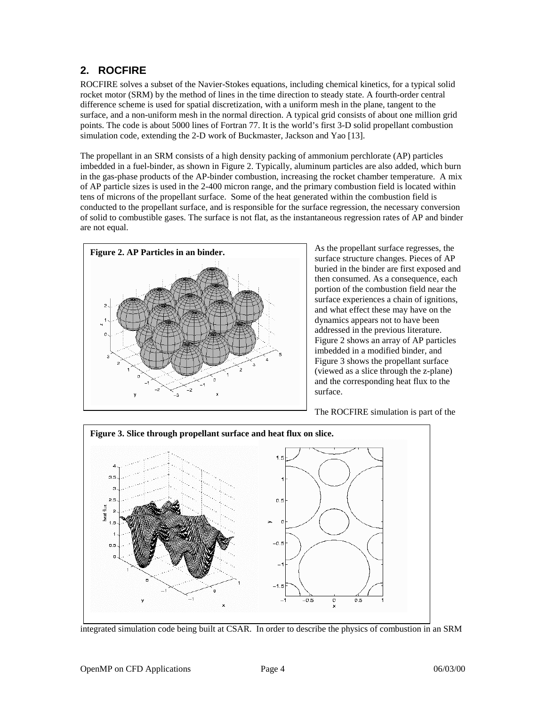# **2. ROCFIRE**

ROCFIRE solves a subset of the Navier-Stokes equations, including chemical kinetics, for a typical solid rocket motor (SRM) by the method of lines in the time direction to steady state. A fourth-order central difference scheme is used for spatial discretization, with a uniform mesh in the plane, tangent to the surface, and a non-uniform mesh in the normal direction. A typical grid consists of about one million grid points. The code is about 5000 lines of Fortran 77. It is the world's first 3-D solid propellant combustion simulation code, extending the 2-D work of Buckmaster, Jackson and Yao [13].

The propellant in an SRM consists of a high density packing of ammonium perchlorate (AP) particles imbedded in a fuel-binder, as shown in Figure 2. Typically, aluminum particles are also added, which burn in the gas-phase products of the AP-binder combustion, increasing the rocket chamber temperature. A mix of AP particle sizes is used in the 2-400 micron range, and the primary combustion field is located within tens of microns of the propellant surface. Some of the heat generated within the combustion field is conducted to the propellant surface, and is responsible for the surface regression, the necessary conversion of solid to combustible gases. The surface is not flat, as the instantaneous regression rates of AP and binder are not equal.



As the propellant surface regresses, the surface structure changes. Pieces of AP buried in the binder are first exposed and then consumed. As a consequence, each portion of the combustion field near the surface experiences a chain of ignitions, and what effect these may have on the dynamics appears not to have been addressed in the previous literature. Figure 2 shows an array of AP particles imbedded in a modified binder, and Figure 3 shows the propellant surface (viewed as a slice through the z-plane) and the corresponding heat flux to the surface.

The ROCFIRE simulation is part of the



integrated simulation code being built at CSAR. In order to describe the physics of combustion in an SRM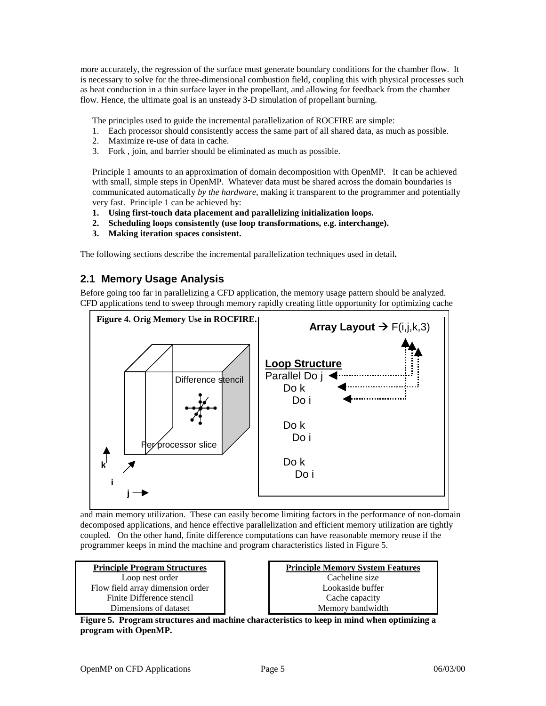more accurately, the regression of the surface must generate boundary conditions for the chamber flow. It is necessary to solve for the three-dimensional combustion field, coupling this with physical processes such as heat conduction in a thin surface layer in the propellant, and allowing for feedback from the chamber flow. Hence, the ultimate goal is an unsteady 3-D simulation of propellant burning.

The principles used to guide the incremental parallelization of ROCFIRE are simple:

- 1. Each processor should consistently access the same part of all shared data, as much as possible.
- 2. Maximize re-use of data in cache.
- 3. Fork , join, and barrier should be eliminated as much as possible.

Principle 1 amounts to an approximation of domain decomposition with OpenMP. It can be achieved with small, simple steps in OpenMP. Whatever data must be shared across the domain boundaries is communicated automatically *by the hardware*, making it transparent to the programmer and potentially very fast. Principle 1 can be achieved by:

- **1. Using first-touch data placement and parallelizing initialization loops.**
- **2. Scheduling loops consistently (use loop transformations, e.g. interchange).**
- **3. Making iteration spaces consistent.**

The following sections describe the incremental parallelization techniques used in detail**.**

### **2.1 Memory Usage Analysis**

Before going too far in parallelizing a CFD application, the memory usage pattern should be analyzed. CFD applications tend to sweep through memory rapidly creating little opportunity for optimizing cache



and main memory utilization. These can easily become limiting factors in the performance of non-domain decomposed applications, and hence effective parallelization and efficient memory utilization are tightly coupled. On the other hand, finite difference computations can have reasonable memory reuse if the programmer keeps in mind the machine and program characteristics listed in Figure 5.

| <b>Principle Program Structures</b> | <b>Principle Memory System 1</b> |
|-------------------------------------|----------------------------------|
| Loop nest order                     | Cacheline size                   |
| Flow field array dimension order    | Lookaside buffer                 |
| Finite Difference stencil           | Cache capacity                   |
| Dimensions of dataset               | Memory bandwidth                 |

| Principle Program Structures     | <b>Principle Memory System Features</b> |
|----------------------------------|-----------------------------------------|
| Loop nest order                  | Cacheline size                          |
| Flow field array dimension order | Lookaside buffer                        |
| Finite Difference stencil        | Cache capacity                          |
| Dimensions of dataset            | Memory bandwidth                        |

**Figure 5. Program structures and machine characteristics to keep in mind when optimizing a program with OpenMP.**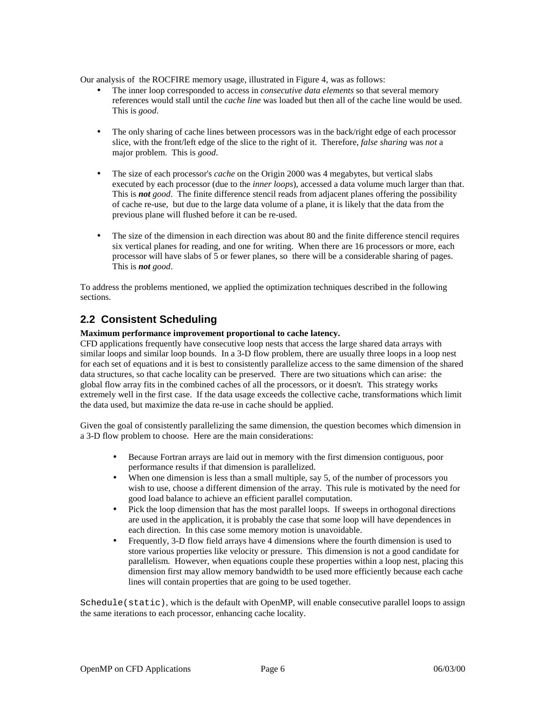Our analysis of the ROCFIRE memory usage, illustrated in Figure 4, was as follows:

- The inner loop corresponded to access in *consecutive data elements* so that several memory references would stall until the *cache line* was loaded but then all of the cache line would be used. This is *good*.
- The only sharing of cache lines between processors was in the back/right edge of each processor slice, with the front/left edge of the slice to the right of it. Therefore, *false sharing* was *not* a major problem. This is *good*.
- The size of each processor's *cache* on the Origin 2000 was 4 megabytes, but vertical slabs executed by each processor (due to the *inner loops*), accessed a data volume much larger than that. This is *not good*. The finite difference stencil reads from adjacent planes offering the possibility of cache re-use, but due to the large data volume of a plane, it is likely that the data from the previous plane will flushed before it can be re-used.
- The size of the dimension in each direction was about 80 and the finite difference stencil requires six vertical planes for reading, and one for writing. When there are 16 processors or more, each processor will have slabs of 5 or fewer planes, so there will be a considerable sharing of pages. This is *not good*.

To address the problems mentioned, we applied the optimization techniques described in the following sections.

## **2.2 Consistent Scheduling**

#### **Maximum performance improvement proportional to cache latency.**

CFD applications frequently have consecutive loop nests that access the large shared data arrays with similar loops and similar loop bounds. In a 3-D flow problem, there are usually three loops in a loop nest for each set of equations and it is best to consistently parallelize access to the same dimension of the shared data structures, so that cache locality can be preserved. There are two situations which can arise: the global flow array fits in the combined caches of all the processors, or it doesn't. This strategy works extremely well in the first case. If the data usage exceeds the collective cache, transformations which limit the data used, but maximize the data re-use in cache should be applied.

Given the goal of consistently parallelizing the same dimension, the question becomes which dimension in a 3-D flow problem to choose. Here are the main considerations:

- Because Fortran arrays are laid out in memory with the first dimension contiguous, poor performance results if that dimension is parallelized.
- When one dimension is less than a small multiple, say 5, of the number of processors you wish to use, choose a different dimension of the array. This rule is motivated by the need for good load balance to achieve an efficient parallel computation.
- Pick the loop dimension that has the most parallel loops. If sweeps in orthogonal directions are used in the application, it is probably the case that some loop will have dependences in each direction. In this case some memory motion is unavoidable.
- Frequently, 3-D flow field arrays have 4 dimensions where the fourth dimension is used to store various properties like velocity or pressure. This dimension is not a good candidate for parallelism. However, when equations couple these properties within a loop nest, placing this dimension first may allow memory bandwidth to be used more efficiently because each cache lines will contain properties that are going to be used together.

Schedule(static), which is the default with OpenMP, will enable consecutive parallel loops to assign the same iterations to each processor, enhancing cache locality.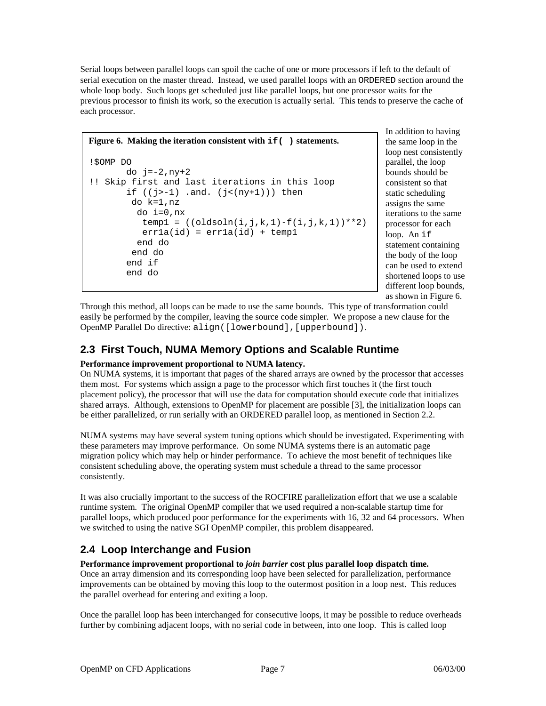Serial loops between parallel loops can spoil the cache of one or more processors if left to the default of serial execution on the master thread. Instead, we used parallel loops with an ORDERED section around the whole loop body. Such loops get scheduled just like parallel loops, but one processor waits for the previous processor to finish its work, so the execution is actually serial. This tends to preserve the cache of each processor.

```
Figure 6. Making the iteration consistent with if( ) statements.
!$OMP DO
       do j=-2,ny+2
!! Skip first and last iterations in this loop
       if ((j>-1) .and. (j<(ny+1)) then
        do k=1,nz
         do i=0,nx
          temp1 = ((oldsoln(i,j,k,1)-f(i,j,k,1))**2)
          err1a(id) = err1a(id) + temp1end do
        end do
       end if
       end do
```
In addition to having the same loop in the loop nest consistently parallel, the loop bounds should be consistent so that static scheduling assigns the same iterations to the same processor for each loop. An if statement containing the body of the loop can be used to extend shortened loops to use different loop bounds, as shown in Figure 6.

Through this method, all loops can be made to use the same bounds. This type of transformation could easily be performed by the compiler, leaving the source code simpler. We propose a new clause for the OpenMP Parallel Do directive: align([lowerbound],[upperbound]).

## **2.3 First Touch, NUMA Memory Options and Scalable Runtime**

### **Performance improvement proportional to NUMA latency.**

On NUMA systems, it is important that pages of the shared arrays are owned by the processor that accesses them most. For systems which assign a page to the processor which first touches it (the first touch placement policy), the processor that will use the data for computation should execute code that initializes shared arrays. Although, extensions to OpenMP for placement are possible [3], the initialization loops can be either parallelized, or run serially with an ORDERED parallel loop, as mentioned in Section 2.2.

NUMA systems may have several system tuning options which should be investigated. Experimenting with these parameters may improve performance. On some NUMA systems there is an automatic page migration policy which may help or hinder performance. To achieve the most benefit of techniques like consistent scheduling above, the operating system must schedule a thread to the same processor consistently.

It was also crucially important to the success of the ROCFIRE parallelization effort that we use a scalable runtime system. The original OpenMP compiler that we used required a non-scalable startup time for parallel loops, which produced poor performance for the experiments with 16, 32 and 64 processors. When we switched to using the native SGI OpenMP compiler, this problem disappeared.

# **2.4 Loop Interchange and Fusion**

### **Performance improvement proportional to** *join barrier* **cost plus parallel loop dispatch time.**

Once an array dimension and its corresponding loop have been selected for parallelization, performance improvements can be obtained by moving this loop to the outermost position in a loop nest. This reduces the parallel overhead for entering and exiting a loop.

Once the parallel loop has been interchanged for consecutive loops, it may be possible to reduce overheads further by combining adjacent loops, with no serial code in between, into one loop. This is called loop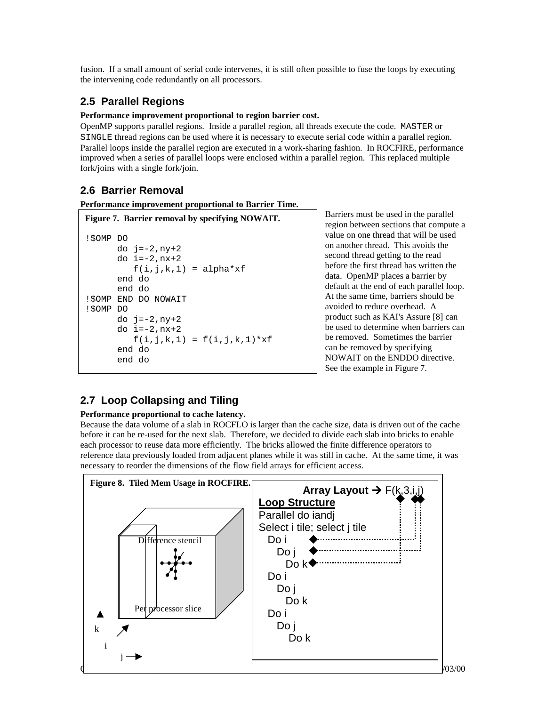fusion. If a small amount of serial code intervenes, it is still often possible to fuse the loops by executing the intervening code redundantly on all processors.

# **2.5 Parallel Regions**

#### **Performance improvement proportional to region barrier cost.**

OpenMP supports parallel regions. Inside a parallel region, all threads execute the code. MASTER or SINGLE thread regions can be used where it is necessary to execute serial code within a parallel region. Parallel loops inside the parallel region are executed in a work-sharing fashion. In ROCFIRE, performance improved when a series of parallel loops were enclosed within a parallel region. This replaced multiple fork/joins with a single fork/join.

## **2.6 Barrier Removal**

```
Performance improvement proportional to Barrier Time.
```

```
Figure 7. Barrier removal by specifying NOWAIT.
!$OMP DO
      do j=-2,ny+2
      do i=-2,nx+2
         f(i,j,k,1) = alpha*xfend do
      end do
!$OMP END DO NOWAIT
!$OMP DO
      do j=-2,ny+2
      do i=-2,nx+2
         f(i,j,k,1) = f(i,j,k,1) * xfend do
      end do
```
Barriers must be used in the parallel region between sections that compute a value on one thread that will be used on another thread. This avoids the second thread getting to the read before the first thread has written the data. OpenMP places a barrier by default at the end of each parallel loop. At the same time, barriers should be avoided to reduce overhead. A product such as KAI's Assure [8] can be used to determine when barriers can be removed. Sometimes the barrier can be removed by specifying NOWAIT on the ENDDO directive. See the example in Figure 7.

# **2.7 Loop Collapsing and Tiling**

### **Performance proportional to cache latency.**

Because the data volume of a slab in ROCFLO is larger than the cache size, data is driven out of the cache before it can be re-used for the next slab. Therefore, we decided to divide each slab into bricks to enable each processor to reuse data more efficiently. The bricks allowed the finite difference operators to reference data previously loaded from adjacent planes while it was still in cache. At the same time, it was necessary to reorder the dimensions of the flow field arrays for efficient access.

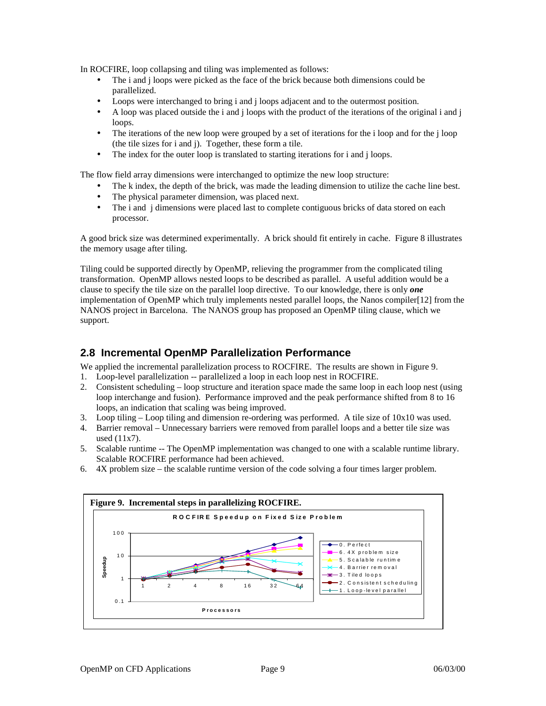In ROCFIRE, loop collapsing and tiling was implemented as follows:

- The i and i loops were picked as the face of the brick because both dimensions could be parallelized.
- Loops were interchanged to bring i and j loops adjacent and to the outermost position.
- A loop was placed outside the i and j loops with the product of the iterations of the original i and j loops.
- The iterations of the new loop were grouped by a set of iterations for the i loop and for the j loop (the tile sizes for i and j). Together, these form a tile.
- The index for the outer loop is translated to starting iterations for i and j loops.

The flow field array dimensions were interchanged to optimize the new loop structure:

- The k index, the depth of the brick, was made the leading dimension to utilize the cache line best.
- The physical parameter dimension, was placed next.
- The i and j dimensions were placed last to complete contiguous bricks of data stored on each processor.

A good brick size was determined experimentally. A brick should fit entirely in cache. Figure 8 illustrates the memory usage after tiling.

Tiling could be supported directly by OpenMP, relieving the programmer from the complicated tiling transformation. OpenMP allows nested loops to be described as parallel. A useful addition would be a clause to specify the tile size on the parallel loop directive. To our knowledge, there is only *one* implementation of OpenMP which truly implements nested parallel loops, the Nanos compiler[12] from the NANOS project in Barcelona. The NANOS group has proposed an OpenMP tiling clause, which we support.

## **2.8 Incremental OpenMP Parallelization Performance**

We applied the incremental parallelization process to ROCFIRE. The results are shown in Figure 9.

- 1. Loop-level parallelization -- parallelized a loop in each loop nest in ROCFIRE.
- 2. Consistent scheduling loop structure and iteration space made the same loop in each loop nest (using loop interchange and fusion). Performance improved and the peak performance shifted from 8 to 16 loops, an indication that scaling was being improved.
- 3. Loop tiling  $-$  Loop tiling and dimension re-ordering was performed. A tile size of  $10x10$  was used.
- 4. Barrier removal Unnecessary barriers were removed from parallel loops and a better tile size was used (11x7).
- 5. Scalable runtime -- The OpenMP implementation was changed to one with a scalable runtime library. Scalable ROCFIRE performance had been achieved.
- 6. 4X problem size the scalable runtime version of the code solving a four times larger problem.

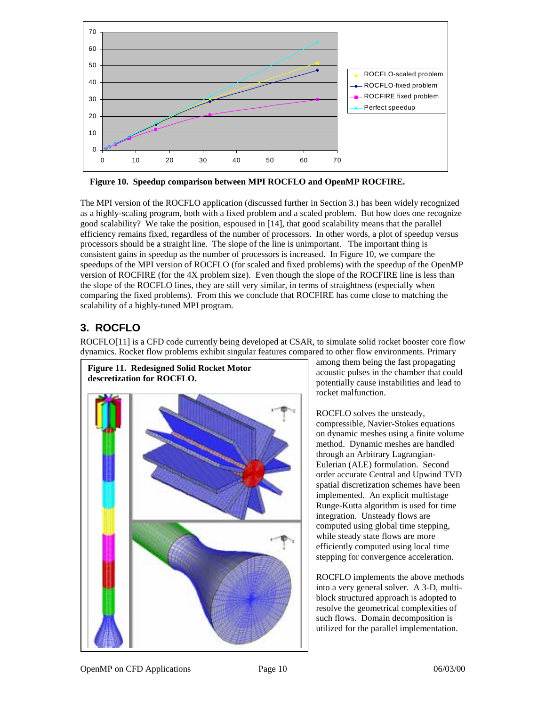

**Figure 10. Speedup comparison between MPI ROCFLO and OpenMP ROCFIRE.**

The MPI version of the ROCFLO application (discussed further in Section 3.) has been widely recognized as a highly-scaling program, both with a fixed problem and a scaled problem. But how does one recognize good scalability? We take the position, espoused in [14], that good scalability means that the parallel efficiency remains fixed, regardless of the number of processors. In other words, a plot of speedup versus processors should be a straight line. The slope of the line is unimportant. The important thing is consistent gains in speedup as the number of processors is increased. In Figure 10, we compare the speedups of the MPI version of ROCFLO (for scaled and fixed problems) with the speedup of the OpenMP version of ROCFIRE (for the 4X problem size). Even though the slope of the ROCFIRE line is less than the slope of the ROCFLO lines, they are still very similar, in terms of straightness (especially when comparing the fixed problems). From this we conclude that ROCFIRE has come close to matching the scalability of a highly-tuned MPI program.

# **3.****ROCFLO**

ROCFLO<sup>[11]</sup> is a CFD code currently being developed at CSAR, to simulate solid rocket booster core flow dynamics. Rocket flow problems exhibit singular features compared to other flow environments. Primary



among them being the fast propagating acoustic pulses in the chamber that could potentially cause instabilities and lead to rocket malfunction.

ROCFLO solves the unsteady, compressible, Navier-Stokes equations on dynamic meshes using a finite volume method. Dynamic meshes are handled through an Arbitrary Lagrangian-Eulerian (ALE) formulation. Second order accurate Central and Upwind TVD spatial discretization schemes have been implemented. An explicit multistage Runge-Kutta algorithm is used for time integration. Unsteady flows are computed using global time stepping, while steady state flows are more efficiently computed using local time stepping for convergence acceleration.

ROCFLO implements the above methods into a very general solver. A 3-D, multiblock structured approach is adopted to resolve the geometrical complexities of such flows. Domain decomposition is utilized for the parallel implementation.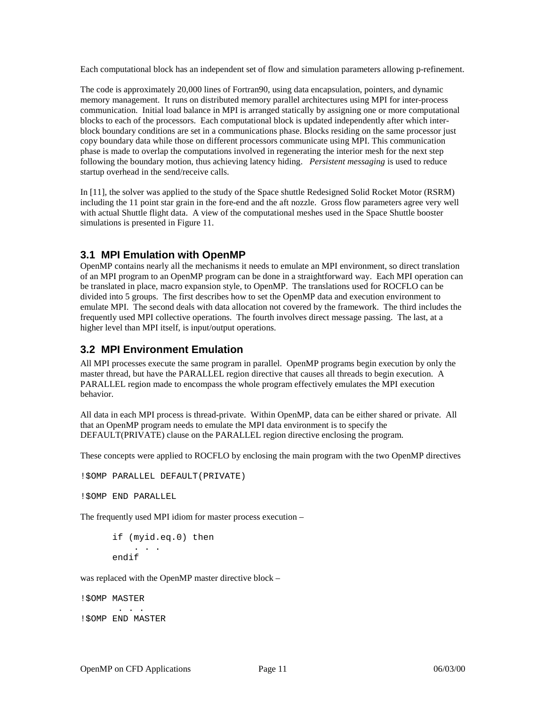Each computational block has an independent set of flow and simulation parameters allowing p-refinement.

The code is approximately 20,000 lines of Fortran90, using data encapsulation, pointers, and dynamic memory management. It runs on distributed memory parallel architectures using MPI for inter-process communication. Initial load balance in MPI is arranged statically by assigning one or more computational blocks to each of the processors. Each computational block is updated independently after which interblock boundary conditions are set in a communications phase. Blocks residing on the same processor just copy boundary data while those on different processors communicate using MPI. This communication phase is made to overlap the computations involved in regenerating the interior mesh for the next step following the boundary motion, thus achieving latency hiding. *Persistent messaging* is used to reduce startup overhead in the send/receive calls.

In [11], the solver was applied to the study of the Space shuttle Redesigned Solid Rocket Motor (RSRM) including the 11 point star grain in the fore-end and the aft nozzle. Gross flow parameters agree very well with actual Shuttle flight data. A view of the computational meshes used in the Space Shuttle booster simulations is presented in Figure 11.

## **3.1 MPI Emulation with OpenMP**

OpenMP contains nearly all the mechanisms it needs to emulate an MPI environment, so direct translation of an MPI program to an OpenMP program can be done in a straightforward way. Each MPI operation can be translated in place, macro expansion style, to OpenMP. The translations used for ROCFLO can be divided into 5 groups. The first describes how to set the OpenMP data and execution environment to emulate MPI. The second deals with data allocation not covered by the framework. The third includes the frequently used MPI collective operations. The fourth involves direct message passing. The last, at a higher level than MPI itself, is input/output operations.

# **3.2 MPI Environment Emulation**

All MPI processes execute the same program in parallel. OpenMP programs begin execution by only the master thread, but have the PARALLEL region directive that causes all threads to begin execution. A PARALLEL region made to encompass the whole program effectively emulates the MPI execution behavior.

All data in each MPI process is thread-private. Within OpenMP, data can be either shared or private. All that an OpenMP program needs to emulate the MPI data environment is to specify the DEFAULT(PRIVATE) clause on the PARALLEL region directive enclosing the program.

These concepts were applied to ROCFLO by enclosing the main program with the two OpenMP directives

!\$OMP PARALLEL DEFAULT(PRIVATE)

!\$OMP END PARALLEL

The frequently used MPI idiom for master process execution –

```
if (myid.eq.0) then
    ...
endif
```
was replaced with the OpenMP master directive block –

```
!$OMP MASTER
      ...
!$OMP END MASTER
```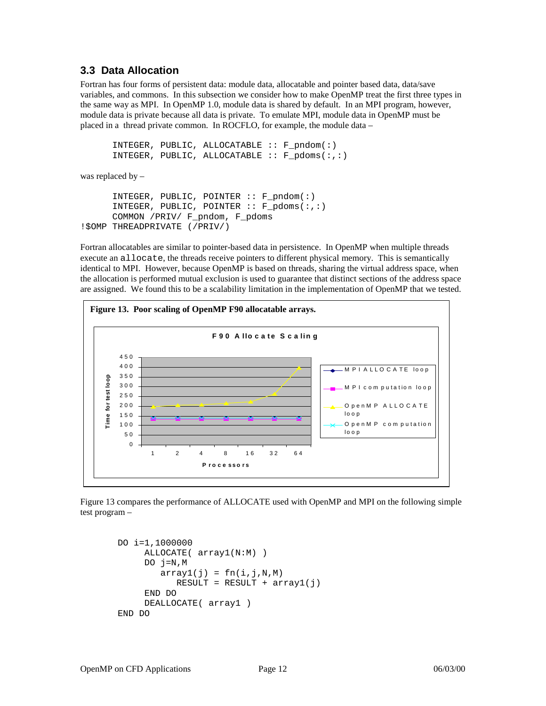## **3.3 Data Allocation**

Fortran has four forms of persistent data: module data, allocatable and pointer based data, data/save variables, and commons. In this subsection we consider how to make OpenMP treat the first three types in the same way as MPI. In OpenMP 1.0, module data is shared by default. In an MPI program, however, module data is private because all data is private. To emulate MPI, module data in OpenMP must be placed in a thread private common. In ROCFLO, for example, the module data –

```
INTEGER, PUBLIC, ALLOCATABLE :: F_pndom(:)
INTEGER, PUBLIC, ALLOCATABLE :: F_pdoms(:,:)
```
was replaced by –

```
INTEGER, PUBLIC, POINTER :: F_pndom(:)
      INTEGER, PUBLIC, POINTER :: F_pdoms(:,:)
      COMMON /PRIV/ F_pndom, F_pdoms
!$OMP THREADPRIVATE (/PRIV/)
```
Fortran allocatables are similar to pointer-based data in persistence. In OpenMP when multiple threads execute an allocate, the threads receive pointers to different physical memory. This is semantically identical to MPI. However, because OpenMP is based on threads, sharing the virtual address space, when the allocation is performed mutual exclusion is used to guarantee that distinct sections of the address space are assigned. We found this to be a scalability limitation in the implementation of OpenMP that we tested.



Figure 13 compares the performance of ALLOCATE used with OpenMP and MPI on the following simple test program –

```
DO i=1,1000000
     ALLOCATE( array1(N:M) )
     DO j=N,M
        array1(j) = fn(i,j,N,M)RESULT = RESULT + array1(j)END DO
     DEALLOCATE( array1 )
END DO
```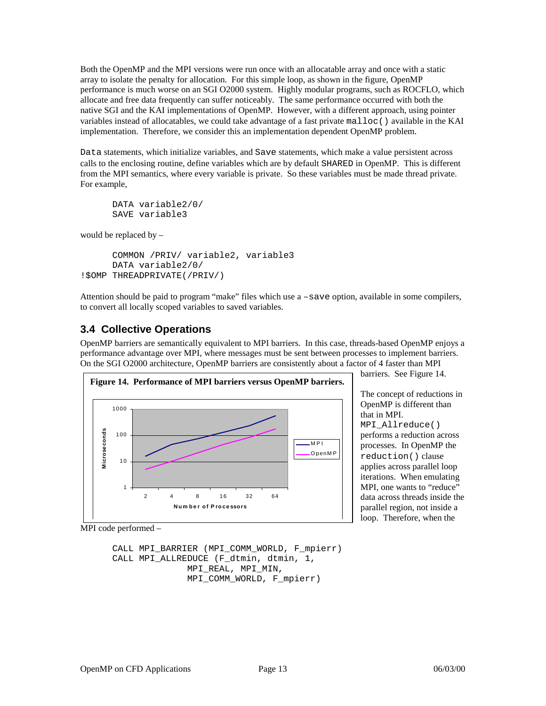Both the OpenMP and the MPI versions were run once with an allocatable array and once with a static array to isolate the penalty for allocation. For this simple loop, as shown in the figure, OpenMP performance is much worse on an SGI O2000 system. Highly modular programs, such as ROCFLO, which allocate and free data frequently can suffer noticeably. The same performance occurred with both the native SGI and the KAI implementations of OpenMP. However, with a different approach, using pointer variables instead of allocatables, we could take advantage of a fast private malloc() available in the KAI implementation. Therefore, we consider this an implementation dependent OpenMP problem.

Data statements, which initialize variables, and Save statements, which make a value persistent across calls to the enclosing routine, define variables which are by default SHARED in OpenMP. This is different from the MPI semantics, where every variable is private. So these variables must be made thread private. For example,

```
DATA variable2/0/
SAVE variable3
```
would be replaced by –

```
COMMON /PRIV/ variable2, variable3
     DATA variable2/0/
!$OMP THREADPRIVATE(/PRIV/)
```
Attention should be paid to program "make" files which use a –save option, available in some compilers, to convert all locally scoped variables to saved variables.

## **3.4 Collective Operations**

OpenMP barriers are semantically equivalent to MPI barriers. In this case, threads-based OpenMP enjoys a performance advantage over MPI, where messages must be sent between processes to implement barriers. On the SGI O2000 architecture, OpenMP barriers are consistently about a factor of 4 faster than MPI



barriers. See Figure 14.

The concept of reductions in OpenMP is different than that in MPI. MPI\_Allreduce() performs a reduction across processes. In OpenMP the reduction() clause applies across parallel loop iterations. When emulating MPI, one wants to "reduce" data across threads inside the parallel region, not inside a loop. Therefore, when the

CALL MPI BARRIER (MPI COMM WORLD, F mpierr) CALL MPI\_ALLREDUCE (F\_dtmin, dtmin, 1, MPI\_REAL, MPI\_MIN, MPI\_COMM\_WORLD, F\_mpierr)

MPI code performed –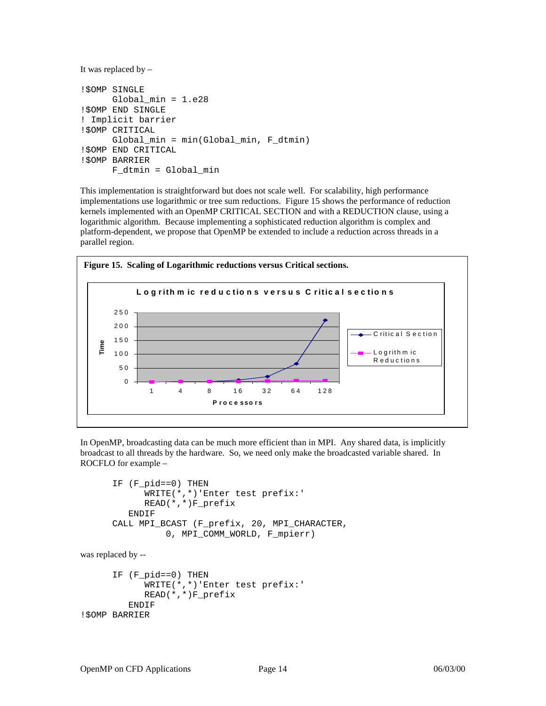It was replaced by –

```
!$OMP SINGLE
      Global min = 1.e28
!$OMP END SINGLE
! Implicit barrier
!$OMP CRITICAL
      Global_min = min(Global_min, F_dtmin)
!$OMP END CRITICAL
!$OMP BARRIER
      F_dtmin = Global_min
```
This implementation is straightforward but does not scale well. For scalability, high performance implementations use logarithmic or tree sum reductions. Figure 15 shows the performance of reduction kernels implemented with an OpenMP CRITICAL SECTION and with a REDUCTION clause, using a logarithmic algorithm. Because implementing a sophisticated reduction algorithm is complex and platform-dependent, we propose that OpenMP be extended to include a reduction across threads in a parallel region.



In OpenMP, broadcasting data can be much more efficient than in MPI. Any shared data, is implicitly broadcast to all threads by the hardware. So, we need only make the broadcasted variable shared. In ROCFLO for example –

```
IF (F_pid==0) THEN
      WRITE(*,*)'Enter test prefix:'
      READ(*,*)F_prefix
   ENDIF
CALL MPI_BCAST (F_prefix, 20, MPI_CHARACTER,
          0, MPI_COMM_WORLD, F_mpierr)
```
was replaced by --

```
IF (F_pid==0) THEN
            WRITE(*,*)'Enter test prefix:'
            READ(*,*)F_prefix
         ENDIF
!$OMP BARRIER
```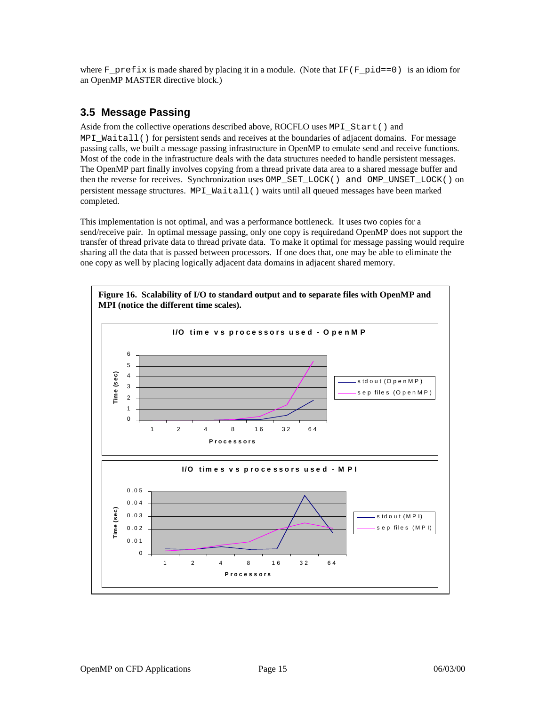where  $F_{\text{prefix}}$  is made shared by placing it in a module. (Note that IF( $F_{\text{mid}}=-0$ ) is an idiom for an OpenMP MASTER directive block.)

# **3.5 Message Passing**

Aside from the collective operations described above, ROCFLO uses MPI\_Start() and MPI\_Waitall() for persistent sends and receives at the boundaries of adjacent domains. For message passing calls, we built a message passing infrastructure in OpenMP to emulate send and receive functions. Most of the code in the infrastructure deals with the data structures needed to handle persistent messages. The OpenMP part finally involves copying from a thread private data area to a shared message buffer and then the reverse for receives. Synchronization uses OMP\_SET\_LOCK() and OMP\_UNSET\_LOCK() on persistent message structures. MPI\_Waitall() waits until all queued messages have been marked completed.

This implementation is not optimal, and was a performance bottleneck. It uses two copies for a send/receive pair. In optimal message passing, only one copy is requiredand OpenMP does not support the transfer of thread private data to thread private data. To make it optimal for message passing would require sharing all the data that is passed between processors. If one does that, one may be able to eliminate the one copy as well by placing logically adjacent data domains in adjacent shared memory.

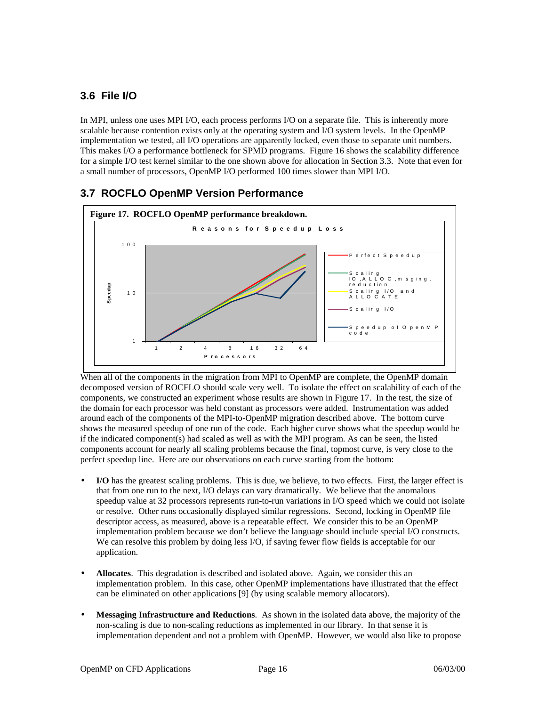# **3.6 File I/O**

In MPI, unless one uses MPI I/O, each process performs I/O on a separate file. This is inherently more scalable because contention exists only at the operating system and I/O system levels. In the OpenMP implementation we tested, all I/O operations are apparently locked, even those to separate unit numbers. This makes I/O a performance bottleneck for SPMD programs. Figure 16 shows the scalability difference for a simple I/O test kernel similar to the one shown above for allocation in Section 3.3. Note that even for a small number of processors, OpenMP I/O performed 100 times slower than MPI I/O.



## **3.7 ROCFLO OpenMP Version Performance**

When all of the components in the migration from MPI to OpenMP are complete, the OpenMP domain decomposed version of ROCFLO should scale very well. To isolate the effect on scalability of each of the components, we constructed an experiment whose results are shown in Figure 17. In the test, the size of the domain for each processor was held constant as processors were added. Instrumentation was added around each of the components of the MPI-to-OpenMP migration described above. The bottom curve shows the measured speedup of one run of the code. Each higher curve shows what the speedup would be if the indicated component(s) had scaled as well as with the MPI program. As can be seen, the listed components account for nearly all scaling problems because the final, topmost curve, is very close to the perfect speedup line. Here are our observations on each curve starting from the bottom:

- **I/O** has the greatest scaling problems. This is due, we believe, to two effects. First, the larger effect is that from one run to the next, I/O delays can vary dramatically. We believe that the anomalous speedup value at 32 processors represents run-to-run variations in I/O speed which we could not isolate or resolve. Other runs occasionally displayed similar regressions. Second, locking in OpenMP file descriptor access, as measured, above is a repeatable effect. We consider this to be an OpenMP implementation problem because we don't believe the language should include special I/O constructs. We can resolve this problem by doing less I/O, if saving fewer flow fields is acceptable for our application.
- **Allocates**. This degradation is described and isolated above. Again, we consider this an implementation problem. In this case, other OpenMP implementations have illustrated that the effect can be eliminated on other applications [9] (by using scalable memory allocators).
- **Messaging Infrastructure and Reductions**. As shown in the isolated data above, the majority of the non-scaling is due to non-scaling reductions as implemented in our library. In that sense it is implementation dependent and not a problem with OpenMP. However, we would also like to propose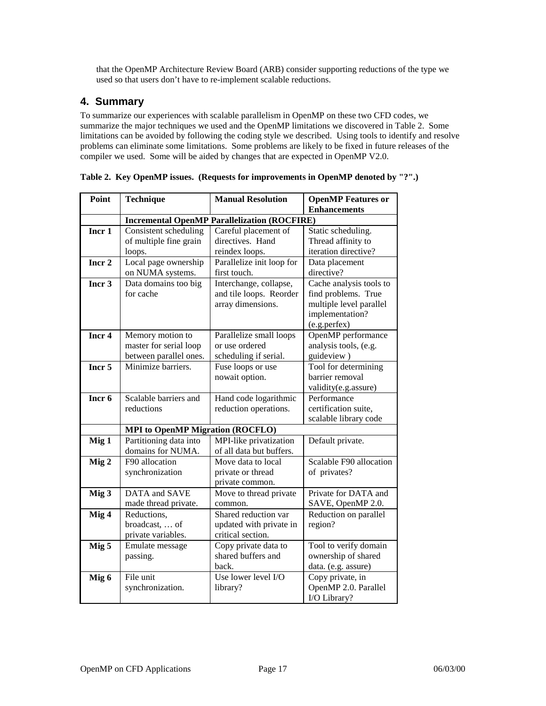that the OpenMP Architecture Review Board (ARB) consider supporting reductions of the type we used so that users don't have to re-implement scalable reductions.

## **4. Summary**

To summarize our experiences with scalable parallelism in OpenMP on these two CFD codes, we summarize the major techniques we used and the OpenMP limitations we discovered in Table 2. Some limitations can be avoided by following the coding style we described. Using tools to identify and resolve problems can eliminate some limitations. Some problems are likely to be fixed in future releases of the compiler we used. Some will be aided by changes that are expected in OpenMP V2.0.

| Point             | <b>Technique</b>                                    | <b>Manual Resolution</b>  | <b>OpenMP</b> Features or |  |  |
|-------------------|-----------------------------------------------------|---------------------------|---------------------------|--|--|
|                   |                                                     |                           | <b>Enhancements</b>       |  |  |
|                   | <b>Incremental OpenMP Parallelization (ROCFIRE)</b> |                           |                           |  |  |
| Incr 1            | Consistent scheduling                               | Careful placement of      | Static scheduling.        |  |  |
|                   | of multiple fine grain                              | directives. Hand          | Thread affinity to        |  |  |
|                   | loops.                                              | reindex loops.            | iteration directive?      |  |  |
| Incr 2            | Local page ownership                                | Parallelize init loop for | Data placement            |  |  |
|                   | on NUMA systems.                                    | first touch.              | directive?                |  |  |
| Incr <sub>3</sub> | Data domains too big                                | Interchange, collapse,    | Cache analysis tools to   |  |  |
|                   | for cache                                           | and tile loops. Reorder   | find problems. True       |  |  |
|                   |                                                     | array dimensions.         | multiple level parallel   |  |  |
|                   |                                                     |                           | implementation?           |  |  |
|                   |                                                     |                           | (e.g.perfex)              |  |  |
| Incr <sub>4</sub> | Memory motion to                                    | Parallelize small loops   | OpenMP performance        |  |  |
|                   | master for serial loop                              | or use ordered            | analysis tools, (e.g.     |  |  |
|                   | between parallel ones.                              | scheduling if serial.     | guideview)                |  |  |
| Incr <sub>5</sub> | Minimize barriers.                                  | Fuse loops or use         | Tool for determining      |  |  |
|                   |                                                     | nowait option.            | barrier removal           |  |  |
|                   |                                                     |                           | validity(e.g.assure)      |  |  |
| Incr 6            | Scalable barriers and                               | Hand code logarithmic     | Performance               |  |  |
|                   | reductions                                          | reduction operations.     | certification suite,      |  |  |
|                   |                                                     |                           | scalable library code     |  |  |
|                   | <b>MPI to OpenMP Migration (ROCFLO)</b>             |                           |                           |  |  |
| Mig 1             | Partitioning data into                              | MPI-like privatization    | Default private.          |  |  |
|                   | domains for NUMA.                                   | of all data but buffers.  |                           |  |  |
| Mig 2             | F90 allocation                                      | Move data to local        | Scalable F90 allocation   |  |  |
|                   | synchronization                                     | private or thread         | of privates?              |  |  |
|                   |                                                     | private common.           |                           |  |  |
| Mig 3             | DATA and SAVE                                       | Move to thread private    | Private for DATA and      |  |  |
|                   | made thread private.                                | common.                   | SAVE, OpenMP 2.0.         |  |  |
| Mig 4             | Reductions,                                         | Shared reduction var      | Reduction on parallel     |  |  |
|                   | broadcast,  of                                      | updated with private in   | region?                   |  |  |
|                   | private variables.                                  | critical section.         |                           |  |  |
| Mig <sub>5</sub>  | Emulate message                                     | Copy private data to      | Tool to verify domain     |  |  |
|                   | passing.                                            | shared buffers and        | ownership of shared       |  |  |
|                   |                                                     | back.                     | data. (e.g. assure)       |  |  |
| Mig 6             | File unit                                           | Use lower level I/O       | Copy private, in          |  |  |
|                   | synchronization.                                    | library?                  | OpenMP 2.0. Parallel      |  |  |
|                   |                                                     |                           | I/O Library?              |  |  |

|  | Table 2. Key OpenMP issues. (Requests for improvements in OpenMP denoted by "?".) |  |
|--|-----------------------------------------------------------------------------------|--|
|  |                                                                                   |  |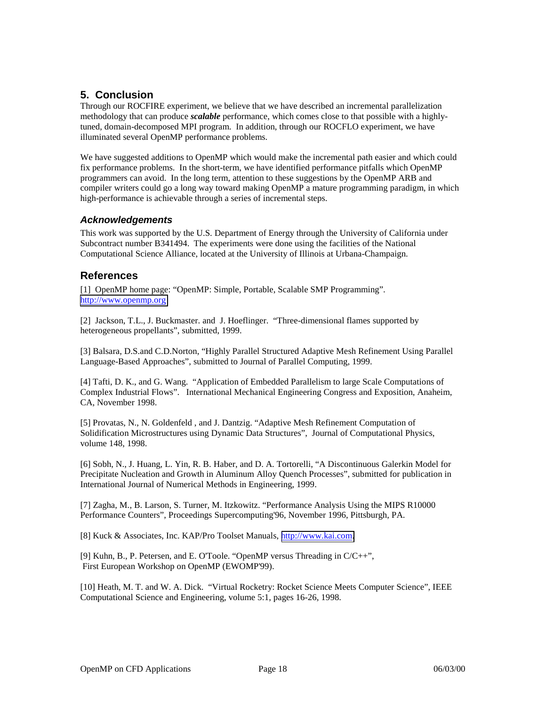# **5.****Conclusion**

Through our ROCFIRE experiment, we believe that we have described an incremental parallelization methodology that can produce *scalable* performance, which comes close to that possible with a highlytuned, domain-decomposed MPI program. In addition, through our ROCFLO experiment, we have illuminated several OpenMP performance problems.

We have suggested additions to OpenMP which would make the incremental path easier and which could fix performance problems. In the short-term, we have identified performance pitfalls which OpenMP programmers can avoid. In the long term, attention to these suggestions by the OpenMP ARB and compiler writers could go a long way toward making OpenMP a mature programming paradigm, in which high-performance is achievable through a series of incremental steps.

### *Acknowledgements*

This work was supported by the U.S. Department of Energy through the University of California under Subcontract number B341494. The experiments were done using the facilities of the National Computational Science Alliance, located at the University of Illinois at Urbana-Champaign.

## **References**

[1] OpenMP home page: "OpenMP: Simple, Portable, Scalable SMP Programming". [http://www.openmp.org](http://www.openmp.org/)

[2] Jackson, T.L., J. Buckmaster. and J. Hoeflinger. "Three-dimensional flames supported by heterogeneous propellants", submitted, 1999.

[3] Balsara, D.S.and C.D.Norton, "Highly Parallel Structured Adaptive Mesh Refinement Using Parallel Language-Based Approaches", submitted to Journal of Parallel Computing, 1999.

[4] Tafti, D. K., and G. Wang. "Application of Embedded Parallelism to large Scale Computations of Complex Industrial Flows". International Mechanical Engineering Congress and Exposition, Anaheim, CA, November 1998.

[5] Provatas, N., N. Goldenfeld , and J. Dantzig. "Adaptive Mesh Refinement Computation of Solidification Microstructures using Dynamic Data Structures", Journal of Computational Physics, volume 148, 1998.

[6] Sobh, N., J. Huang, L. Yin, R. B. Haber, and D. A. Tortorelli, "A Discontinuous Galerkin Model for Precipitate Nucleation and Growth in Aluminum Alloy Quench Processes", submitted for publication in International Journal of Numerical Methods in Engineering, 1999.

[7] Zagha, M., B. Larson, S. Turner, M. Itzkowitz. "Performance Analysis Using the MIPS R10000 Performance Counters", Proceedings Supercomputing'96, November 1996, Pittsburgh, PA.

[8] Kuck & Associates, Inc. KAP/Pro Toolset Manuals, [http://www.kai.com.](http://www.kai.com/)

[9] Kuhn, B., P. Petersen, and E. O'Toole. "OpenMP versus Threading in C/C++", First European Workshop on OpenMP (EWOMP'99).

[10] Heath, M. T. and W. A. Dick. "Virtual Rocketry: Rocket Science Meets Computer Science", IEEE Computational Science and Engineering, volume 5:1, pages 16-26, 1998.